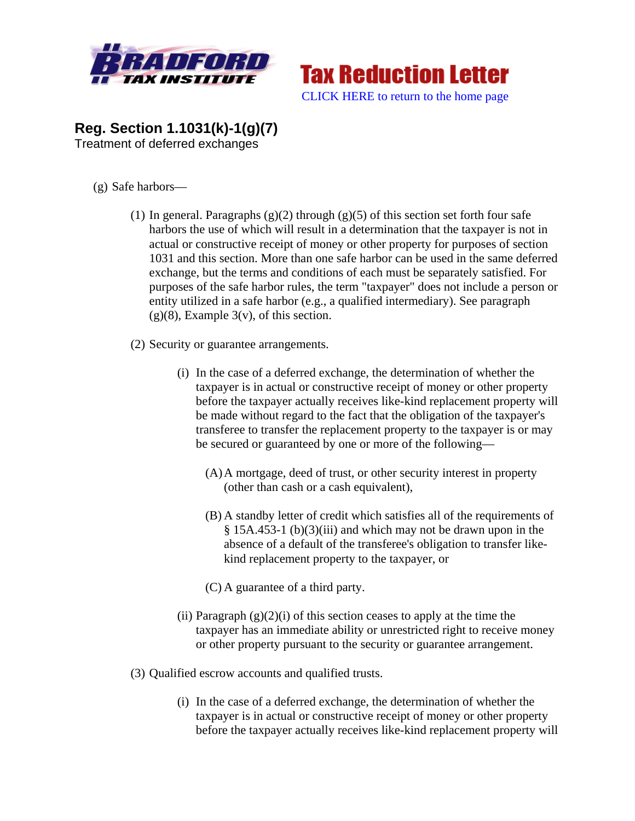



## **Reg. Section 1.1031(k)-1(g)(7)**  Treatment of deferred exchanges

- (g) Safe harbors—
	- (1) In general. Paragraphs  $(g)(2)$  through  $(g)(5)$  of this section set forth four safe harbors the use of which will result in a determination that the taxpayer is not in actual or constructive receipt of money or other property for purposes of section 1031 and this section. More than one safe harbor can be used in the same deferred exchange, but the terms and conditions of each must be separately satisfied. For purposes of the safe harbor rules, the term "taxpayer" does not include a person or entity utilized in a safe harbor (e.g., a qualified intermediary). See paragraph  $(g)(8)$ , Example 3(v), of this section.
	- (2) Security or guarantee arrangements.
		- (i) In the case of a deferred exchange, the determination of whether the taxpayer is in actual or constructive receipt of money or other property before the taxpayer actually receives like-kind replacement property will be made without regard to the fact that the obligation of the taxpayer's transferee to transfer the replacement property to the taxpayer is or may be secured or guaranteed by one or more of the following—
			- (A)A mortgage, deed of trust, or other security interest in property (other than cash or a cash equivalent),
			- (B) A standby letter of credit which satisfies all of the requirements of § 15A.453-1 (b)(3)(iii) and which may not be drawn upon in the absence of a default of the transferee's obligation to transfer likekind replacement property to the taxpayer, or
			- (C) A guarantee of a third party.
		- (ii) Paragraph  $(g)(2)(i)$  of this section ceases to apply at the time the taxpayer has an immediate ability or unrestricted right to receive money or other property pursuant to the security or guarantee arrangement.
	- (3) Qualified escrow accounts and qualified trusts.
		- (i) In the case of a deferred exchange, the determination of whether the taxpayer is in actual or constructive receipt of money or other property before the taxpayer actually receives like-kind replacement property will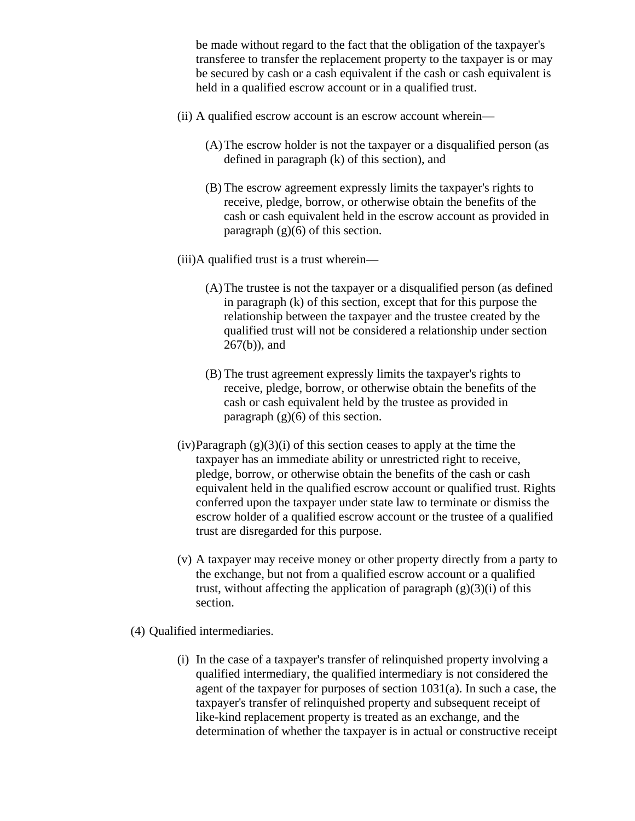be made without regard to the fact that the obligation of the taxpayer's transferee to transfer the replacement property to the taxpayer is or may be secured by cash or a cash equivalent if the cash or cash equivalent is held in a qualified escrow account or in a qualified trust.

- (ii) A qualified escrow account is an escrow account wherein—
	- (A)The escrow holder is not the taxpayer or a disqualified person (as defined in paragraph (k) of this section), and
	- (B) The escrow agreement expressly limits the taxpayer's rights to receive, pledge, borrow, or otherwise obtain the benefits of the cash or cash equivalent held in the escrow account as provided in paragraph  $(g)(6)$  of this section.
- (iii)A qualified trust is a trust wherein—
	- (A)The trustee is not the taxpayer or a disqualified person (as defined in paragraph (k) of this section, except that for this purpose the relationship between the taxpayer and the trustee created by the qualified trust will not be considered a relationship under section 267(b)), and
	- (B) The trust agreement expressly limits the taxpayer's rights to receive, pledge, borrow, or otherwise obtain the benefits of the cash or cash equivalent held by the trustee as provided in paragraph  $(g)(6)$  of this section.
- $(iv)$ Paragraph  $(g)(3)(i)$  of this section ceases to apply at the time the taxpayer has an immediate ability or unrestricted right to receive, pledge, borrow, or otherwise obtain the benefits of the cash or cash equivalent held in the qualified escrow account or qualified trust. Rights conferred upon the taxpayer under state law to terminate or dismiss the escrow holder of a qualified escrow account or the trustee of a qualified trust are disregarded for this purpose.
- (v) A taxpayer may receive money or other property directly from a party to the exchange, but not from a qualified escrow account or a qualified trust, without affecting the application of paragraph  $(g)(3)(i)$  of this section.
- (4) Qualified intermediaries.
	- (i) In the case of a taxpayer's transfer of relinquished property involving a qualified intermediary, the qualified intermediary is not considered the agent of the taxpayer for purposes of section 1031(a). In such a case, the taxpayer's transfer of relinquished property and subsequent receipt of like-kind replacement property is treated as an exchange, and the determination of whether the taxpayer is in actual or constructive receipt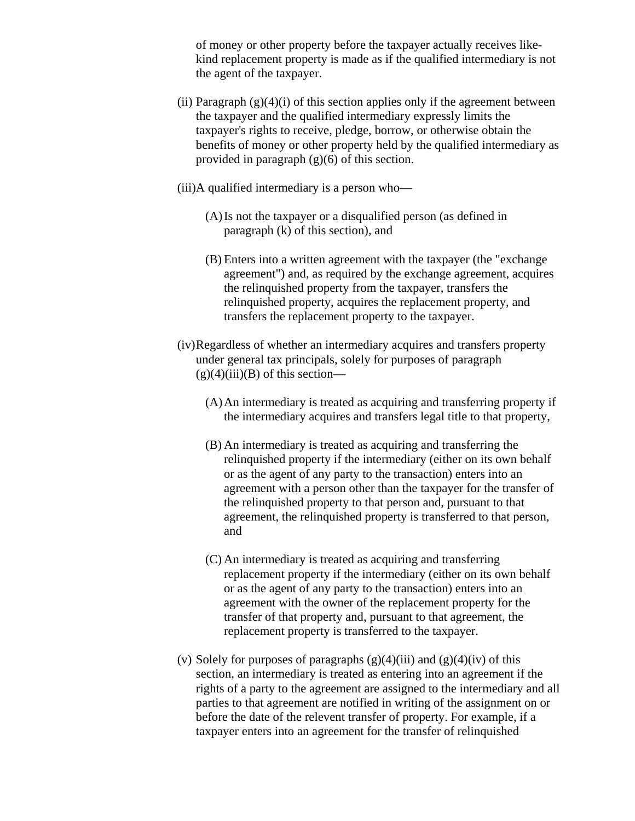of money or other property before the taxpayer actually receives likekind replacement property is made as if the qualified intermediary is not the agent of the taxpayer.

- (ii) Paragraph  $(g)(4)(i)$  of this section applies only if the agreement between the taxpayer and the qualified intermediary expressly limits the taxpayer's rights to receive, pledge, borrow, or otherwise obtain the benefits of money or other property held by the qualified intermediary as provided in paragraph (g)(6) of this section.
- (iii)A qualified intermediary is a person who—
	- (A)Is not the taxpayer or a disqualified person (as defined in paragraph (k) of this section), and
	- (B) Enters into a written agreement with the taxpayer (the "exchange agreement") and, as required by the exchange agreement, acquires the relinquished property from the taxpayer, transfers the relinquished property, acquires the replacement property, and transfers the replacement property to the taxpayer.
- (iv)Regardless of whether an intermediary acquires and transfers property under general tax principals, solely for purposes of paragraph  $(g)(4)(iii)(B)$  of this section—
	- (A)An intermediary is treated as acquiring and transferring property if the intermediary acquires and transfers legal title to that property,
	- (B) An intermediary is treated as acquiring and transferring the relinquished property if the intermediary (either on its own behalf or as the agent of any party to the transaction) enters into an agreement with a person other than the taxpayer for the transfer of the relinquished property to that person and, pursuant to that agreement, the relinquished property is transferred to that person, and
	- (C) An intermediary is treated as acquiring and transferring replacement property if the intermediary (either on its own behalf or as the agent of any party to the transaction) enters into an agreement with the owner of the replacement property for the transfer of that property and, pursuant to that agreement, the replacement property is transferred to the taxpayer.
- (v) Solely for purposes of paragraphs  $(g)(4)(iii)$  and  $(g)(4)(iv)$  of this section, an intermediary is treated as entering into an agreement if the rights of a party to the agreement are assigned to the intermediary and all parties to that agreement are notified in writing of the assignment on or before the date of the relevent transfer of property. For example, if a taxpayer enters into an agreement for the transfer of relinquished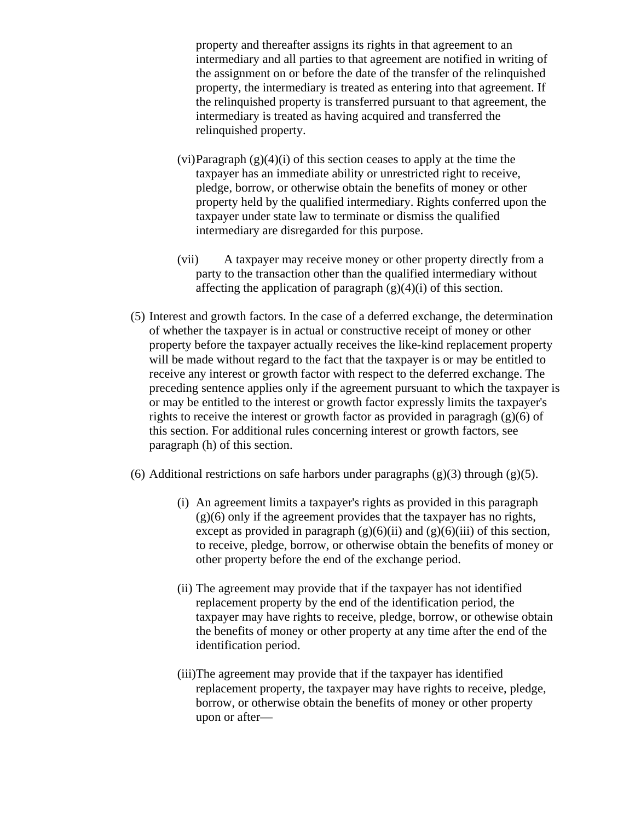property and thereafter assigns its rights in that agreement to an intermediary and all parties to that agreement are notified in writing of the assignment on or before the date of the transfer of the relinquished property, the intermediary is treated as entering into that agreement. If the relinquished property is transferred pursuant to that agreement, the intermediary is treated as having acquired and transferred the relinquished property.

- $(vi)$ Paragraph  $(g)(4)(i)$  of this section ceases to apply at the time the taxpayer has an immediate ability or unrestricted right to receive, pledge, borrow, or otherwise obtain the benefits of money or other property held by the qualified intermediary. Rights conferred upon the taxpayer under state law to terminate or dismiss the qualified intermediary are disregarded for this purpose.
- (vii) A taxpayer may receive money or other property directly from a party to the transaction other than the qualified intermediary without affecting the application of paragraph  $(g)(4)(i)$  of this section.
- (5) Interest and growth factors. In the case of a deferred exchange, the determination of whether the taxpayer is in actual or constructive receipt of money or other property before the taxpayer actually receives the like-kind replacement property will be made without regard to the fact that the taxpayer is or may be entitled to receive any interest or growth factor with respect to the deferred exchange. The preceding sentence applies only if the agreement pursuant to which the taxpayer is or may be entitled to the interest or growth factor expressly limits the taxpayer's rights to receive the interest or growth factor as provided in paragragh (g)(6) of this section. For additional rules concerning interest or growth factors, see paragraph (h) of this section.
- (6) Additional restrictions on safe harbors under paragraphs  $(g)(3)$  through  $(g)(5)$ .
	- (i) An agreement limits a taxpayer's rights as provided in this paragraph  $(g)(6)$  only if the agreement provides that the taxpayer has no rights, except as provided in paragraph  $(g)(6)(ii)$  and  $(g)(6)(iii)$  of this section, to receive, pledge, borrow, or otherwise obtain the benefits of money or other property before the end of the exchange period.
	- (ii) The agreement may provide that if the taxpayer has not identified replacement property by the end of the identification period, the taxpayer may have rights to receive, pledge, borrow, or othewise obtain the benefits of money or other property at any time after the end of the identification period.
	- (iii)The agreement may provide that if the taxpayer has identified replacement property, the taxpayer may have rights to receive, pledge, borrow, or otherwise obtain the benefits of money or other property upon or after—